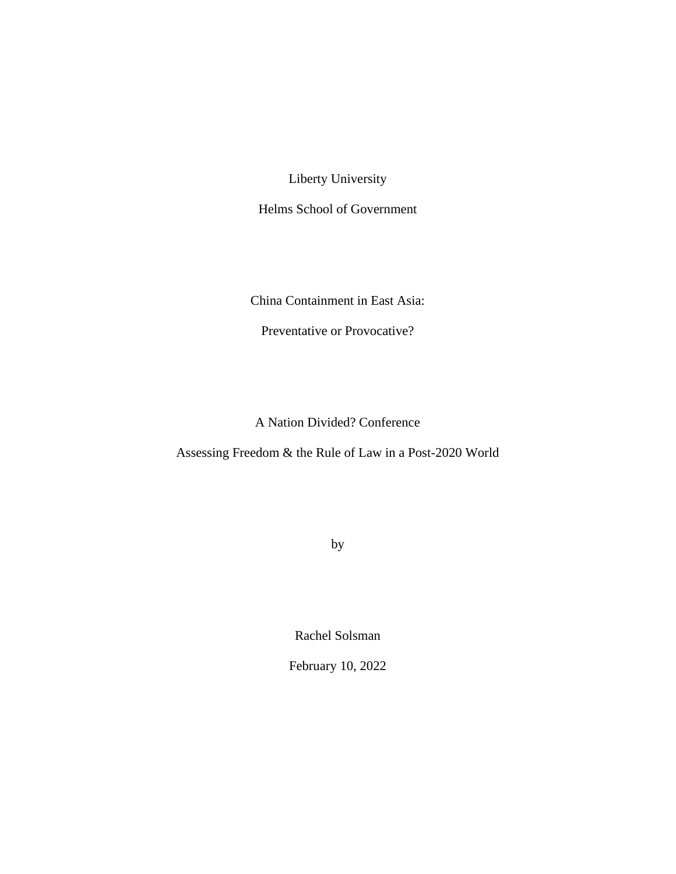Liberty University

Helms School of Government

China Containment in East Asia:

Preventative or Provocative?

A Nation Divided? Conference

Assessing Freedom & the Rule of Law in a Post-2020 World

by

Rachel Solsman

February 10, 2022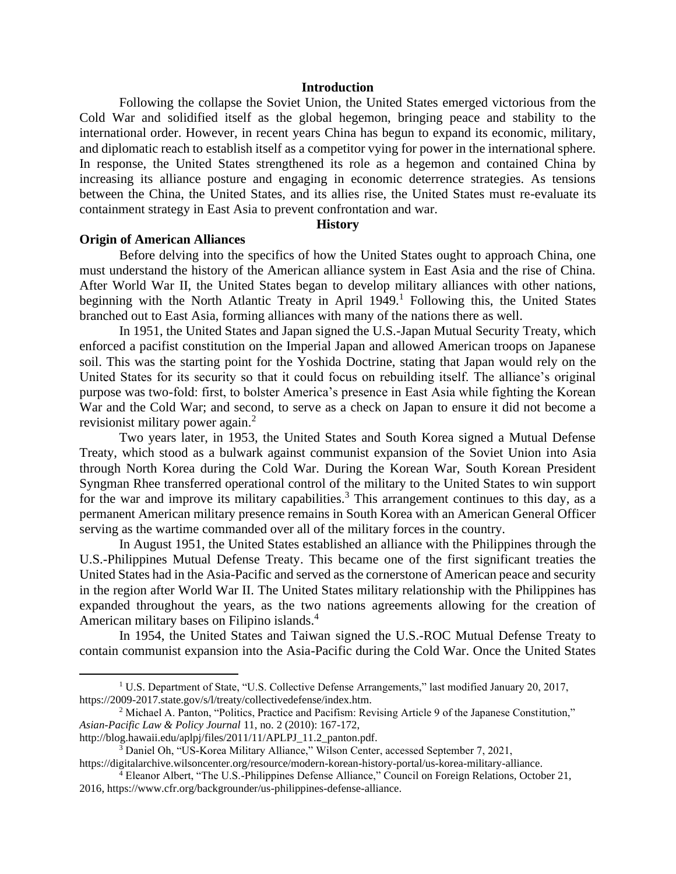## **Introduction**

Following the collapse the Soviet Union, the United States emerged victorious from the Cold War and solidified itself as the global hegemon, bringing peace and stability to the international order. However, in recent years China has begun to expand its economic, military, and diplomatic reach to establish itself as a competitor vying for power in the international sphere. In response, the United States strengthened its role as a hegemon and contained China by increasing its alliance posture and engaging in economic deterrence strategies. As tensions between the China, the United States, and its allies rise, the United States must re-evaluate its containment strategy in East Asia to prevent confrontation and war.

## **History**

## **Origin of American Alliances**

Before delving into the specifics of how the United States ought to approach China, one must understand the history of the American alliance system in East Asia and the rise of China. After World War II, the United States began to develop military alliances with other nations, beginning with the North Atlantic Treaty in April  $1949<sup>1</sup>$  Following this, the United States branched out to East Asia, forming alliances with many of the nations there as well.

In 1951, the United States and Japan signed the U.S.-Japan Mutual Security Treaty, which enforced a pacifist constitution on the Imperial Japan and allowed American troops on Japanese soil. This was the starting point for the Yoshida Doctrine, stating that Japan would rely on the United States for its security so that it could focus on rebuilding itself. The alliance's original purpose was two-fold: first, to bolster America's presence in East Asia while fighting the Korean War and the Cold War; and second, to serve as a check on Japan to ensure it did not become a revisionist military power again.<sup>2</sup>

Two years later, in 1953, the United States and South Korea signed a Mutual Defense Treaty, which stood as a bulwark against communist expansion of the Soviet Union into Asia through North Korea during the Cold War. During the Korean War, South Korean President Syngman Rhee transferred operational control of the military to the United States to win support for the war and improve its military capabilities.<sup>3</sup> This arrangement continues to this day, as a permanent American military presence remains in South Korea with an American General Officer serving as the wartime commanded over all of the military forces in the country.

In August 1951, the United States established an alliance with the Philippines through the U.S.-Philippines Mutual Defense Treaty. This became one of the first significant treaties the United States had in the Asia-Pacific and served as the cornerstone of American peace and security in the region after World War II. The United States military relationship with the Philippines has expanded throughout the years, as the two nations agreements allowing for the creation of American military bases on Filipino islands.<sup>4</sup>

In 1954, the United States and Taiwan signed the U.S.-ROC Mutual Defense Treaty to contain communist expansion into the Asia-Pacific during the Cold War. Once the United States

<sup>1</sup> U.S. Department of State, "U.S. Collective Defense Arrangements," last modified January 20, 2017, https://2009-2017.state.gov/s/l/treaty/collectivedefense/index.htm.

<sup>&</sup>lt;sup>2</sup> Michael A. Panton, "Politics, Practice and Pacifism: Revising Article 9 of the Japanese Constitution," *Asian-Pacific Law & Policy Journal* 11, no. 2 (2010): 167-172,

http://blog.hawaii.edu/aplpj/files/2011/11/APLPJ\_11.2\_panton.pdf.

<sup>3</sup> Daniel Oh, "US-Korea Military Alliance," Wilson Center, accessed September 7, 2021,

https://digitalarchive.wilsoncenter.org/resource/modern-korean-history-portal/us-korea-military-alliance. <sup>4</sup> Eleanor Albert, "The U.S.-Philippines Defense Alliance," Council on Foreign Relations, October 21,

<sup>2016,</sup> https://www.cfr.org/backgrounder/us-philippines-defense-alliance.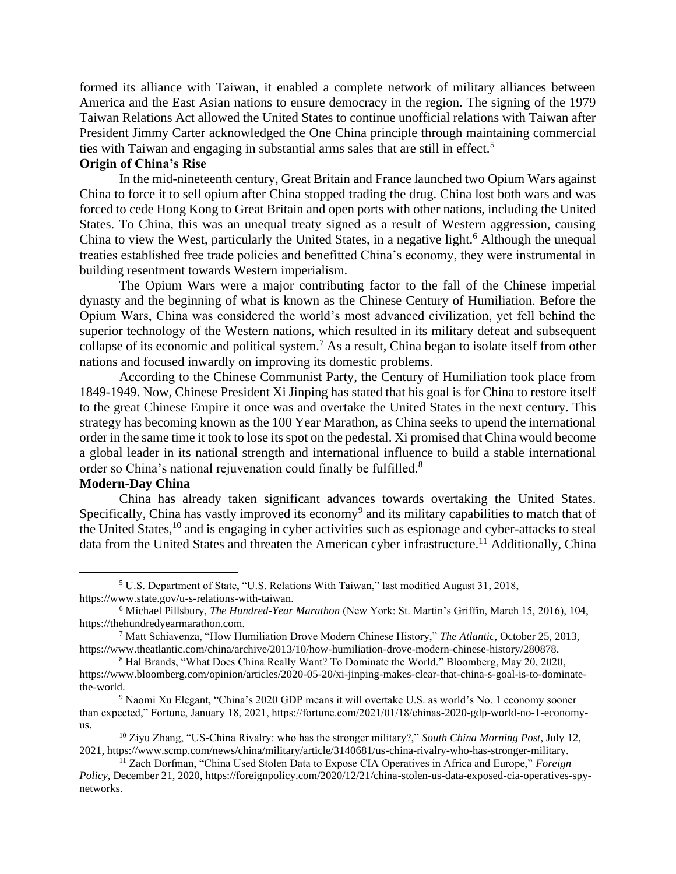formed its alliance with Taiwan, it enabled a complete network of military alliances between America and the East Asian nations to ensure democracy in the region. The signing of the 1979 Taiwan Relations Act allowed the United States to continue unofficial relations with Taiwan after President Jimmy Carter acknowledged the One China principle through maintaining commercial ties with Taiwan and engaging in substantial arms sales that are still in effect.<sup>5</sup>

# **Origin of China's Rise**

In the mid-nineteenth century, Great Britain and France launched two Opium Wars against China to force it to sell opium after China stopped trading the drug. China lost both wars and was forced to cede Hong Kong to Great Britain and open ports with other nations, including the United States. To China, this was an unequal treaty signed as a result of Western aggression, causing China to view the West, particularly the United States, in a negative light.<sup>6</sup> Although the unequal treaties established free trade policies and benefitted China's economy, they were instrumental in building resentment towards Western imperialism.

The Opium Wars were a major contributing factor to the fall of the Chinese imperial dynasty and the beginning of what is known as the Chinese Century of Humiliation. Before the Opium Wars, China was considered the world's most advanced civilization, yet fell behind the superior technology of the Western nations, which resulted in its military defeat and subsequent collapse of its economic and political system.<sup>7</sup> As a result, China began to isolate itself from other nations and focused inwardly on improving its domestic problems.

According to the Chinese Communist Party, the Century of Humiliation took place from 1849-1949. Now, Chinese President Xi Jinping has stated that his goal is for China to restore itself to the great Chinese Empire it once was and overtake the United States in the next century. This strategy has becoming known as the 100 Year Marathon, as China seeks to upend the international order in the same time it took to lose its spot on the pedestal. Xi promised that China would become a global leader in its national strength and international influence to build a stable international order so China's national rejuvenation could finally be fulfilled.<sup>8</sup>

# **Modern-Day China**

China has already taken significant advances towards overtaking the United States. Specifically, China has vastly improved its economy<sup>9</sup> and its military capabilities to match that of the United States, $10$  and is engaging in cyber activities such as espionage and cyber-attacks to steal data from the United States and threaten the American cyber infrastructure.<sup>11</sup> Additionally, China

<sup>5</sup> U.S. Department of State, "U.S. Relations With Taiwan," last modified August 31, 2018, https://www.state.gov/u-s-relations-with-taiwan.

<sup>6</sup> Michael Pillsbury, *The Hundred-Year Marathon* (New York: St. Martin's Griffin, March 15, 2016), 104, https://thehundredyearmarathon.com.

<sup>7</sup> Matt Schiavenza, "How Humiliation Drove Modern Chinese History," *The Atlantic*, October 25, 2013, https://www.theatlantic.com/china/archive/2013/10/how-humiliation-drove-modern-chinese-history/280878.

<sup>8</sup> Hal Brands, "What Does China Really Want? To Dominate the World." Bloomberg, May 20, 2020, https://www.bloomberg.com/opinion/articles/2020-05-20/xi-jinping-makes-clear-that-china-s-goal-is-to-dominatethe-world.

<sup>9</sup> Naomi Xu Elegant, "China's 2020 GDP means it will overtake U.S. as world's No. 1 economy sooner than expected," Fortune, January 18, 2021, https://fortune.com/2021/01/18/chinas-2020-gdp-world-no-1-economyus.

<sup>10</sup> Ziyu Zhang, "US-China Rivalry: who has the stronger military?," *South China Morning Post*, July 12, 2021, https://www.scmp.com/news/china/military/article/3140681/us-china-rivalry-who-has-stronger-military.

<sup>11</sup> Zach Dorfman, "China Used Stolen Data to Expose CIA Operatives in Africa and Europe," *Foreign Policy*, December 21, 2020, https://foreignpolicy.com/2020/12/21/china-stolen-us-data-exposed-cia-operatives-spynetworks.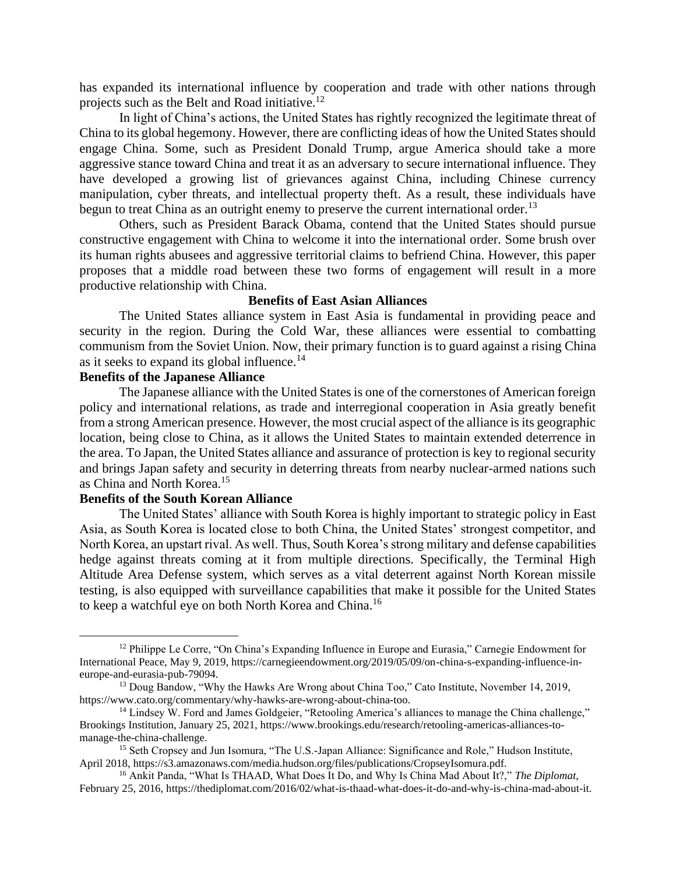has expanded its international influence by cooperation and trade with other nations through projects such as the Belt and Road initiative.<sup>12</sup>

In light of China's actions, the United States has rightly recognized the legitimate threat of China to its global hegemony. However, there are conflicting ideas of how the United States should engage China. Some, such as President Donald Trump, argue America should take a more aggressive stance toward China and treat it as an adversary to secure international influence. They have developed a growing list of grievances against China, including Chinese currency manipulation, cyber threats, and intellectual property theft. As a result, these individuals have begun to treat China as an outright enemy to preserve the current international order.<sup>13</sup>

Others, such as President Barack Obama, contend that the United States should pursue constructive engagement with China to welcome it into the international order. Some brush over its human rights abusees and aggressive territorial claims to befriend China. However, this paper proposes that a middle road between these two forms of engagement will result in a more productive relationship with China.

## **Benefits of East Asian Alliances**

The United States alliance system in East Asia is fundamental in providing peace and security in the region. During the Cold War, these alliances were essential to combatting communism from the Soviet Union. Now, their primary function is to guard against a rising China as it seeks to expand its global influence.<sup>14</sup>

# **Benefits of the Japanese Alliance**

The Japanese alliance with the United States is one of the cornerstones of American foreign policy and international relations, as trade and interregional cooperation in Asia greatly benefit from a strong American presence. However, the most crucial aspect of the alliance is its geographic location, being close to China, as it allows the United States to maintain extended deterrence in the area. To Japan, the United States alliance and assurance of protection is key to regional security and brings Japan safety and security in deterring threats from nearby nuclear-armed nations such as China and North Korea.<sup>15</sup>

## **Benefits of the South Korean Alliance**

The United States' alliance with South Korea is highly important to strategic policy in East Asia, as South Korea is located close to both China, the United States' strongest competitor, and North Korea, an upstart rival. As well. Thus, South Korea's strong military and defense capabilities hedge against threats coming at it from multiple directions. Specifically, the Terminal High Altitude Area Defense system, which serves as a vital deterrent against North Korean missile testing, is also equipped with surveillance capabilities that make it possible for the United States to keep a watchful eye on both North Korea and China.<sup>16</sup>

 $12$  Philippe Le Corre, "On China's Expanding Influence in Europe and Eurasia," Carnegie Endowment for International Peace, May 9, 2019, https://carnegieendowment.org/2019/05/09/on-china-s-expanding-influence-ineurope-and-eurasia-pub-79094.

<sup>&</sup>lt;sup>13</sup> Doug Bandow, "Why the Hawks Are Wrong about China Too," Cato Institute, November 14, 2019, https://www.cato.org/commentary/why-hawks-are-wrong-about-china-too.

<sup>&</sup>lt;sup>14</sup> Lindsey W. Ford and James Goldgeier, "Retooling America's alliances to manage the China challenge," Brookings Institution, January 25, 2021, https://www.brookings.edu/research/retooling-americas-alliances-tomanage-the-china-challenge.

<sup>&</sup>lt;sup>15</sup> Seth Cropsey and Jun Isomura, "The U.S.-Japan Alliance: Significance and Role," Hudson Institute, April 2018, https://s3.amazonaws.com/media.hudson.org/files/publications/CropseyIsomura.pdf.

<sup>16</sup> Ankit Panda, "What Is THAAD, What Does It Do, and Why Is China Mad About It?," *The Diplomat*, February 25, 2016, https://thediplomat.com/2016/02/what-is-thaad-what-does-it-do-and-why-is-china-mad-about-it.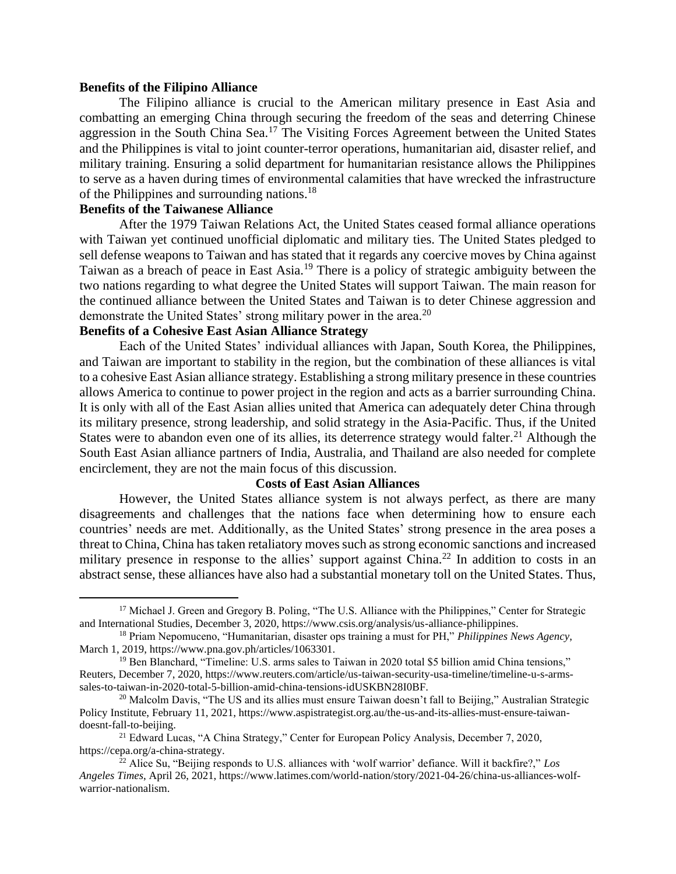## **Benefits of the Filipino Alliance**

The Filipino alliance is crucial to the American military presence in East Asia and combatting an emerging China through securing the freedom of the seas and deterring Chinese aggression in the South China Sea.<sup>17</sup> The Visiting Forces Agreement between the United States and the Philippines is vital to joint counter-terror operations, humanitarian aid, disaster relief, and military training. Ensuring a solid department for humanitarian resistance allows the Philippines to serve as a haven during times of environmental calamities that have wrecked the infrastructure of the Philippines and surrounding nations.<sup>18</sup>

# **Benefits of the Taiwanese Alliance**

After the 1979 Taiwan Relations Act, the United States ceased formal alliance operations with Taiwan yet continued unofficial diplomatic and military ties. The United States pledged to sell defense weapons to Taiwan and has stated that it regards any coercive moves by China against Taiwan as a breach of peace in East Asia.<sup>19</sup> There is a policy of strategic ambiguity between the two nations regarding to what degree the United States will support Taiwan. The main reason for the continued alliance between the United States and Taiwan is to deter Chinese aggression and demonstrate the United States' strong military power in the area.<sup>20</sup>

# **Benefits of a Cohesive East Asian Alliance Strategy**

Each of the United States' individual alliances with Japan, South Korea, the Philippines, and Taiwan are important to stability in the region, but the combination of these alliances is vital to a cohesive East Asian alliance strategy. Establishing a strong military presence in these countries allows America to continue to power project in the region and acts as a barrier surrounding China. It is only with all of the East Asian allies united that America can adequately deter China through its military presence, strong leadership, and solid strategy in the Asia-Pacific. Thus, if the United States were to abandon even one of its allies, its deterrence strategy would falter.<sup>21</sup> Although the South East Asian alliance partners of India, Australia, and Thailand are also needed for complete encirclement, they are not the main focus of this discussion.

## **Costs of East Asian Alliances**

However, the United States alliance system is not always perfect, as there are many disagreements and challenges that the nations face when determining how to ensure each countries' needs are met. Additionally, as the United States' strong presence in the area poses a threat to China, China has taken retaliatory moves such as strong economic sanctions and increased military presence in response to the allies' support against China.<sup>22</sup> In addition to costs in an abstract sense, these alliances have also had a substantial monetary toll on the United States. Thus,

<sup>&</sup>lt;sup>17</sup> Michael J. Green and Gregory B. Poling, "The U.S. Alliance with the Philippines," Center for Strategic and International Studies, December 3, 2020, https://www.csis.org/analysis/us-alliance-philippines.

<sup>18</sup> Priam Nepomuceno, "Humanitarian, disaster ops training a must for PH," *Philippines News Agency*, March 1, 2019, https://www.pna.gov.ph/articles/1063301.

<sup>19</sup> Ben Blanchard, "Timeline: U.S. arms sales to Taiwan in 2020 total \$5 billion amid China tensions," Reuters, December 7, 2020, https://www.reuters.com/article/us-taiwan-security-usa-timeline/timeline-u-s-armssales-to-taiwan-in-2020-total-5-billion-amid-china-tensions-idUSKBN28I0BF.

<sup>&</sup>lt;sup>20</sup> Malcolm Davis, "The US and its allies must ensure Taiwan doesn't fall to Beijing," Australian Strategic Policy Institute, February 11, 2021, https://www.aspistrategist.org.au/the-us-and-its-allies-must-ensure-taiwandoesnt-fall-to-beijing.

<sup>21</sup> Edward Lucas, "A China Strategy," Center for European Policy Analysis, December 7, 2020, https://cepa.org/a-china-strategy.

<sup>22</sup> Alice Su, "Beijing responds to U.S. alliances with 'wolf warrior' defiance. Will it backfire?," *Los Angeles Times*, April 26, 2021, https://www.latimes.com/world-nation/story/2021-04-26/china-us-alliances-wolfwarrior-nationalism.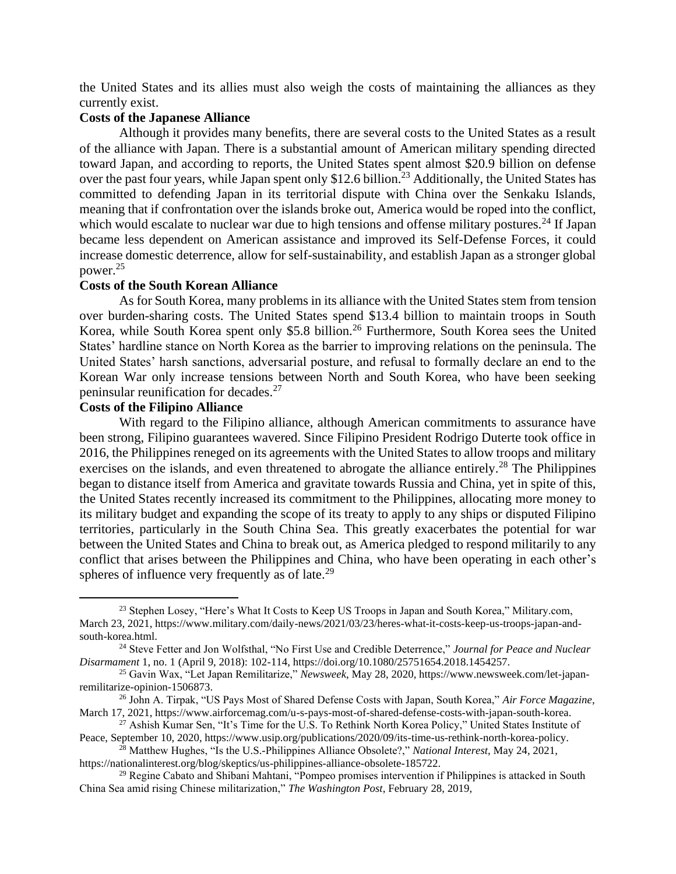the United States and its allies must also weigh the costs of maintaining the alliances as they currently exist.

## **Costs of the Japanese Alliance**

Although it provides many benefits, there are several costs to the United States as a result of the alliance with Japan. There is a substantial amount of American military spending directed toward Japan, and according to reports, the United States spent almost \$20.9 billion on defense over the past four years, while Japan spent only \$12.6 billion.<sup>23</sup> Additionally, the United States has committed to defending Japan in its territorial dispute with China over the Senkaku Islands, meaning that if confrontation over the islands broke out, America would be roped into the conflict, which would escalate to nuclear war due to high tensions and offense military postures.<sup>24</sup> If Japan became less dependent on American assistance and improved its Self-Defense Forces, it could increase domestic deterrence, allow for self-sustainability, and establish Japan as a stronger global power.<sup>25</sup>

## **Costs of the South Korean Alliance**

As for South Korea, many problems in its alliance with the United States stem from tension over burden-sharing costs. The United States spend \$13.4 billion to maintain troops in South Korea, while South Korea spent only \$5.8 billion.<sup>26</sup> Furthermore, South Korea sees the United States' hardline stance on North Korea as the barrier to improving relations on the peninsula. The United States' harsh sanctions, adversarial posture, and refusal to formally declare an end to the Korean War only increase tensions between North and South Korea, who have been seeking peninsular reunification for decades.<sup>27</sup>

## **Costs of the Filipino Alliance**

With regard to the Filipino alliance, although American commitments to assurance have been strong, Filipino guarantees wavered. Since Filipino President Rodrigo Duterte took office in 2016, the Philippines reneged on its agreements with the United States to allow troops and military exercises on the islands, and even threatened to abrogate the alliance entirely.<sup>28</sup> The Philippines began to distance itself from America and gravitate towards Russia and China, yet in spite of this, the United States recently increased its commitment to the Philippines, allocating more money to its military budget and expanding the scope of its treaty to apply to any ships or disputed Filipino territories, particularly in the South China Sea. This greatly exacerbates the potential for war between the United States and China to break out, as America pledged to respond militarily to any conflict that arises between the Philippines and China, who have been operating in each other's spheres of influence very frequently as of late. $^{29}$ 

<sup>&</sup>lt;sup>23</sup> Stephen Losey, "Here's What It Costs to Keep US Troops in Japan and South Korea," Military.com, March 23, 2021, https://www.military.com/daily-news/2021/03/23/heres-what-it-costs-keep-us-troops-japan-andsouth-korea.html.

<sup>24</sup> Steve Fetter and Jon Wolfsthal, "No First Use and Credible Deterrence," *Journal for Peace and Nuclear Disarmament* 1, no. 1 (April 9, 2018): 102-114, https://doi.org/10.1080/25751654.2018.1454257.

<sup>25</sup> Gavin Wax, "Let Japan Remilitarize," *Newsweek*, May 28, 2020, https://www.newsweek.com/let-japanremilitarize-opinion-1506873.

<sup>26</sup> John A. Tirpak, "US Pays Most of Shared Defense Costs with Japan, South Korea," *Air Force Magazine*, March 17, 2021, https://www.airforcemag.com/u-s-pays-most-of-shared-defense-costs-with-japan-south-korea.

<sup>27</sup> Ashish Kumar Sen, "It's Time for the U.S. To Rethink North Korea Policy," United States Institute of Peace, September 10, 2020, https://www.usip.org/publications/2020/09/its-time-us-rethink-north-korea-policy.

<sup>28</sup> Matthew Hughes, "Is the U.S.-Philippines Alliance Obsolete?," *National Interest*, May 24, 2021, https://nationalinterest.org/blog/skeptics/us-philippines-alliance-obsolete-185722.

<sup>&</sup>lt;sup>29</sup> Regine Cabato and Shibani Mahtani, "Pompeo promises intervention if Philippines is attacked in South China Sea amid rising Chinese militarization," *The Washington Post*, February 28, 2019,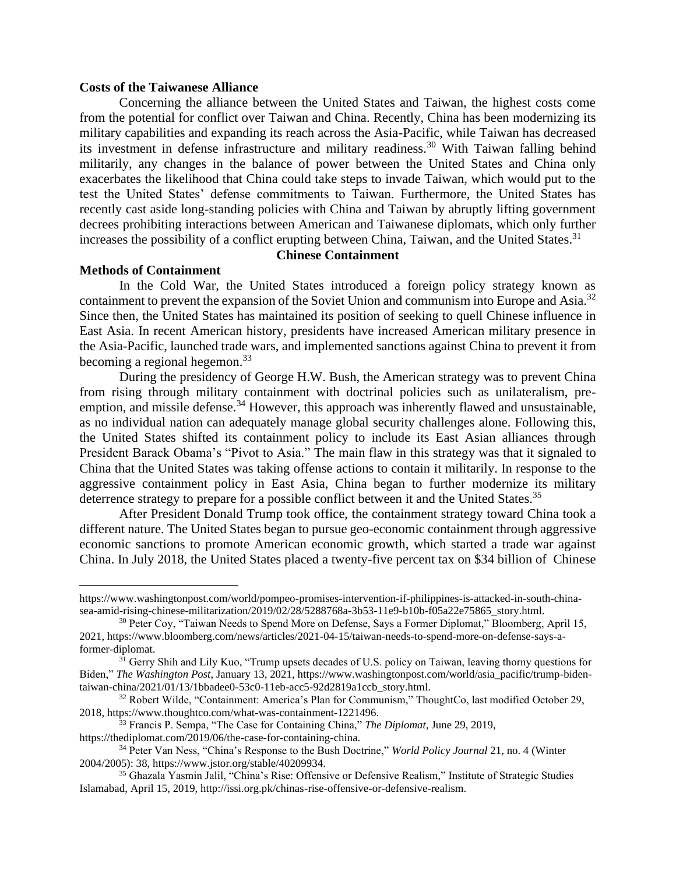## **Costs of the Taiwanese Alliance**

Concerning the alliance between the United States and Taiwan, the highest costs come from the potential for conflict over Taiwan and China. Recently, China has been modernizing its military capabilities and expanding its reach across the Asia-Pacific, while Taiwan has decreased its investment in defense infrastructure and military readiness.<sup>30</sup> With Taiwan falling behind militarily, any changes in the balance of power between the United States and China only exacerbates the likelihood that China could take steps to invade Taiwan, which would put to the test the United States' defense commitments to Taiwan. Furthermore, the United States has recently cast aside long-standing policies with China and Taiwan by abruptly lifting government decrees prohibiting interactions between American and Taiwanese diplomats, which only further increases the possibility of a conflict erupting between China, Taiwan, and the United States.<sup>31</sup>

# **Chinese Containment**

## **Methods of Containment**

In the Cold War, the United States introduced a foreign policy strategy known as containment to prevent the expansion of the Soviet Union and communism into Europe and Asia.<sup>32</sup> Since then, the United States has maintained its position of seeking to quell Chinese influence in East Asia. In recent American history, presidents have increased American military presence in the Asia-Pacific, launched trade wars, and implemented sanctions against China to prevent it from becoming a regional hegemon. $33$ 

During the presidency of George H.W. Bush, the American strategy was to prevent China from rising through military containment with doctrinal policies such as unilateralism, preemption, and missile defense.<sup>34</sup> However, this approach was inherently flawed and unsustainable, as no individual nation can adequately manage global security challenges alone. Following this, the United States shifted its containment policy to include its East Asian alliances through President Barack Obama's "Pivot to Asia." The main flaw in this strategy was that it signaled to China that the United States was taking offense actions to contain it militarily. In response to the aggressive containment policy in East Asia, China began to further modernize its military deterrence strategy to prepare for a possible conflict between it and the United States.<sup>35</sup>

After President Donald Trump took office, the containment strategy toward China took a different nature. The United States began to pursue geo-economic containment through aggressive economic sanctions to promote American economic growth, which started a trade war against China. In July 2018, the United States placed a twenty-five percent tax on \$34 billion of Chinese

https://www.washingtonpost.com/world/pompeo-promises-intervention-if-philippines-is-attacked-in-south-chinasea-amid-rising-chinese-militarization/2019/02/28/5288768a-3b53-11e9-b10b-f05a22e75865\_story.html.

<sup>&</sup>lt;sup>30</sup> Peter Coy, "Taiwan Needs to Spend More on Defense, Says a Former Diplomat," Bloomberg, April 15, 2021, https://www.bloomberg.com/news/articles/2021-04-15/taiwan-needs-to-spend-more-on-defense-says-aformer-diplomat.

<sup>&</sup>lt;sup>31</sup> Gerry Shih and Lily Kuo, "Trump upsets decades of U.S. policy on Taiwan, leaving thorny questions for Biden," *The Washington Post*, January 13, 2021, https://www.washingtonpost.com/world/asia\_pacific/trump-bidentaiwan-china/2021/01/13/1bbadee0-53c0-11eb-acc5-92d2819a1ccb\_story.html.

<sup>32</sup> Robert Wilde, "Containment: America's Plan for Communism," ThoughtCo, last modified October 29, 2018, https://www.thoughtco.com/what-was-containment-1221496.

<sup>33</sup> Francis P. Sempa, "The Case for Containing China," *The Diplomat*, June 29, 2019,

https://thediplomat.com/2019/06/the-case-for-containing-china.

<sup>34</sup> Peter Van Ness, "China's Response to the Bush Doctrine," *World Policy Journal* 21, no. 4 (Winter 2004/2005): 38, https://www.jstor.org/stable/40209934.

<sup>35</sup> Ghazala Yasmin Jalil, "China's Rise: Offensive or Defensive Realism," Institute of Strategic Studies Islamabad, April 15, 2019, http://issi.org.pk/chinas-rise-offensive-or-defensive-realism.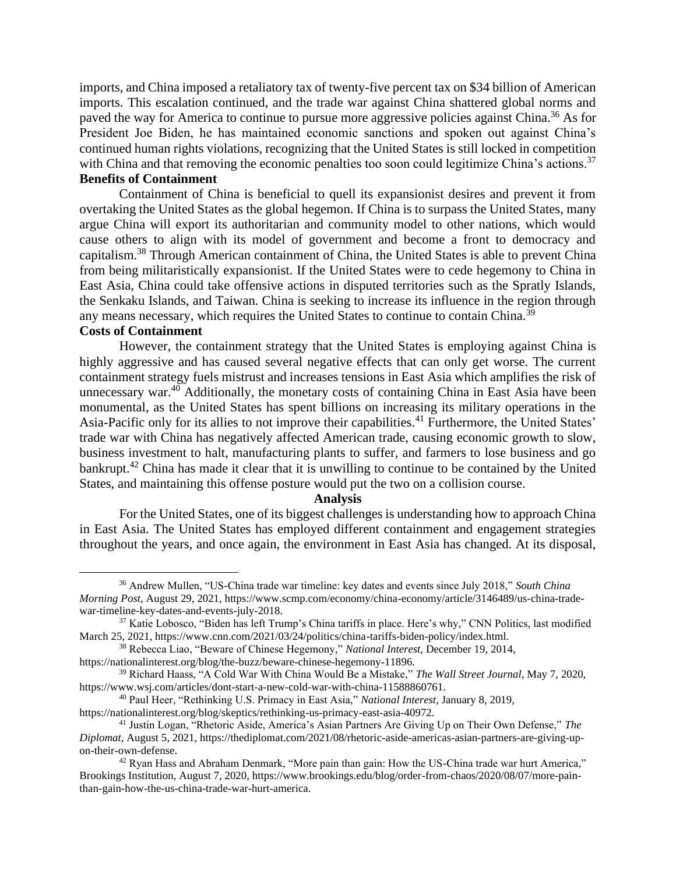imports, and China imposed a retaliatory tax of twenty-five percent tax on \$34 billion of American imports. This escalation continued, and the trade war against China shattered global norms and paved the way for America to continue to pursue more aggressive policies against China.<sup>36</sup> As for President Joe Biden, he has maintained economic sanctions and spoken out against China's continued human rights violations, recognizing that the United States is still locked in competition with China and that removing the economic penalties too soon could legitimize China's actions.<sup>37</sup> **Benefits of Containment**

Containment of China is beneficial to quell its expansionist desires and prevent it from overtaking the United States as the global hegemon. If China is to surpass the United States, many argue China will export its authoritarian and community model to other nations, which would cause others to align with its model of government and become a front to democracy and capitalism.<sup>38</sup> Through American containment of China, the United States is able to prevent China from being militaristically expansionist. If the United States were to cede hegemony to China in East Asia, China could take offensive actions in disputed territories such as the Spratly Islands, the Senkaku Islands, and Taiwan. China is seeking to increase its influence in the region through any means necessary, which requires the United States to continue to contain China.<sup>39</sup>

# **Costs of Containment**

However, the containment strategy that the United States is employing against China is highly aggressive and has caused several negative effects that can only get worse. The current containment strategy fuels mistrust and increases tensions in East Asia which amplifies the risk of unnecessary war.<sup>40</sup> Additionally, the monetary costs of containing China in East Asia have been monumental, as the United States has spent billions on increasing its military operations in the Asia-Pacific only for its allies to not improve their capabilities.<sup>41</sup> Furthermore, the United States' trade war with China has negatively affected American trade, causing economic growth to slow, business investment to halt, manufacturing plants to suffer, and farmers to lose business and go bankrupt.<sup>42</sup> China has made it clear that it is unwilling to continue to be contained by the United States, and maintaining this offense posture would put the two on a collision course.

#### **Analysis**

For the United States, one of its biggest challenges is understanding how to approach China in East Asia. The United States has employed different containment and engagement strategies throughout the years, and once again, the environment in East Asia has changed. At its disposal,

<sup>36</sup> Andrew Mullen, "US-China trade war timeline: key dates and events since July 2018," *South China Morning Post*, August 29, 2021, https://www.scmp.com/economy/china-economy/article/3146489/us-china-tradewar-timeline-key-dates-and-events-july-2018.

<sup>&</sup>lt;sup>37</sup> Katie Lobosco, "Biden has left Trump's China tariffs in place. Here's why," CNN Politics, last modified March 25, 2021, https://www.cnn.com/2021/03/24/politics/china-tariffs-biden-policy/index.html.

<sup>38</sup> Rebecca Liao, "Beware of Chinese Hegemony," *National Interest*, December 19, 2014,

https://nationalinterest.org/blog/the-buzz/beware-chinese-hegemony-11896.

<sup>39</sup> Richard Haass, "A Cold War With China Would Be a Mistake," *The Wall Street Journal*, May 7, 2020, https://www.wsj.com/articles/dont-start-a-new-cold-war-with-china-11588860761.

<sup>40</sup> Paul Heer, "Rethinking U.S. Primacy in East Asia," *National Interest*, January 8, 2019, https://nationalinterest.org/blog/skeptics/rethinking-us-primacy-east-asia-40972.

<sup>41</sup> Justin Logan, "Rhetoric Aside, America's Asian Partners Are Giving Up on Their Own Defense," *The Diplomat*, August 5, 2021, https://thediplomat.com/2021/08/rhetoric-aside-americas-asian-partners-are-giving-upon-their-own-defense.

<sup>&</sup>lt;sup>42</sup> Ryan Hass and Abraham Denmark, "More pain than gain: How the US-China trade war hurt America," Brookings Institution, August 7, 2020, https://www.brookings.edu/blog/order-from-chaos/2020/08/07/more-painthan-gain-how-the-us-china-trade-war-hurt-america.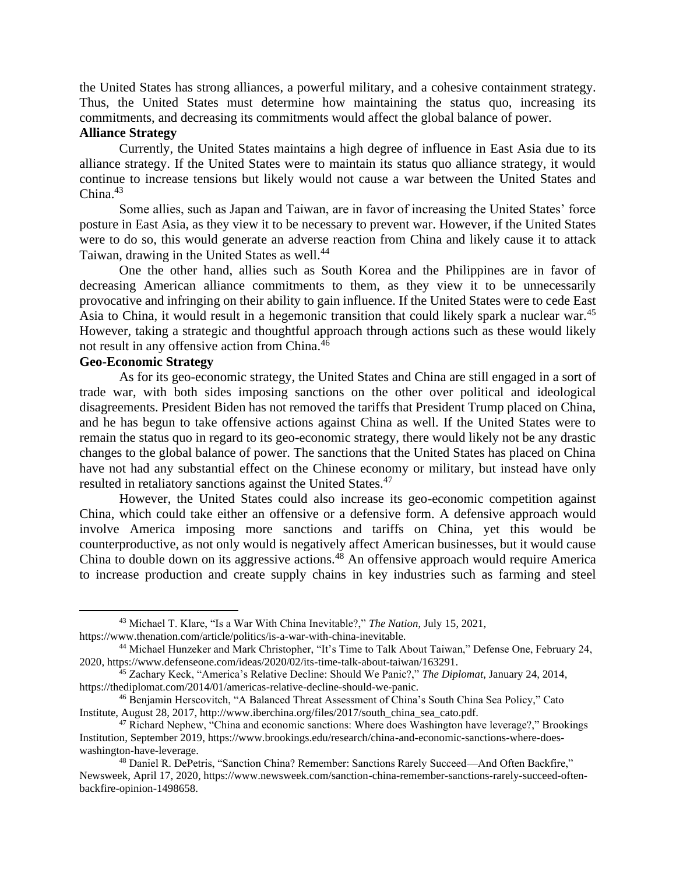the United States has strong alliances, a powerful military, and a cohesive containment strategy. Thus, the United States must determine how maintaining the status quo, increasing its commitments, and decreasing its commitments would affect the global balance of power.

## **Alliance Strategy**

Currently, the United States maintains a high degree of influence in East Asia due to its alliance strategy. If the United States were to maintain its status quo alliance strategy, it would continue to increase tensions but likely would not cause a war between the United States and China. $43$ 

Some allies, such as Japan and Taiwan, are in favor of increasing the United States' force posture in East Asia, as they view it to be necessary to prevent war. However, if the United States were to do so, this would generate an adverse reaction from China and likely cause it to attack Taiwan, drawing in the United States as well.<sup>44</sup>

One the other hand, allies such as South Korea and the Philippines are in favor of decreasing American alliance commitments to them, as they view it to be unnecessarily provocative and infringing on their ability to gain influence. If the United States were to cede East Asia to China, it would result in a hegemonic transition that could likely spark a nuclear war.<sup>45</sup> However, taking a strategic and thoughtful approach through actions such as these would likely not result in any offensive action from China.<sup>46</sup>

# **Geo-Economic Strategy**

As for its geo-economic strategy, the United States and China are still engaged in a sort of trade war, with both sides imposing sanctions on the other over political and ideological disagreements. President Biden has not removed the tariffs that President Trump placed on China, and he has begun to take offensive actions against China as well. If the United States were to remain the status quo in regard to its geo-economic strategy, there would likely not be any drastic changes to the global balance of power. The sanctions that the United States has placed on China have not had any substantial effect on the Chinese economy or military, but instead have only resulted in retaliatory sanctions against the United States.<sup>47</sup>

However, the United States could also increase its geo-economic competition against China, which could take either an offensive or a defensive form. A defensive approach would involve America imposing more sanctions and tariffs on China, yet this would be counterproductive, as not only would is negatively affect American businesses, but it would cause China to double down on its aggressive actions.<sup>48</sup> An offensive approach would require America to increase production and create supply chains in key industries such as farming and steel

<sup>43</sup> Michael T. Klare, "Is a War With China Inevitable?," *The Nation*, July 15, 2021, https://www.thenation.com/article/politics/is-a-war-with-china-inevitable.

<sup>44</sup> Michael Hunzeker and Mark Christopher, "It's Time to Talk About Taiwan," Defense One, February 24, 2020, https://www.defenseone.com/ideas/2020/02/its-time-talk-about-taiwan/163291.

<sup>45</sup> Zachary Keck, "America's Relative Decline: Should We Panic?," *The Diplomat*, January 24, 2014, https://thediplomat.com/2014/01/americas-relative-decline-should-we-panic.

<sup>46</sup> Benjamin Herscovitch, "A Balanced Threat Assessment of China's South China Sea Policy," Cato Institute, August 28, 2017, http://www.iberchina.org/files/2017/south\_china\_sea\_cato.pdf.

<sup>47</sup> Richard Nephew, "China and economic sanctions: Where does Washington have leverage?," Brookings Institution, September 2019, https://www.brookings.edu/research/china-and-economic-sanctions-where-doeswashington-have-leverage.

<sup>48</sup> Daniel R. DePetris, "Sanction China? Remember: Sanctions Rarely Succeed—And Often Backfire," Newsweek, April 17, 2020, https://www.newsweek.com/sanction-china-remember-sanctions-rarely-succeed-oftenbackfire-opinion-1498658.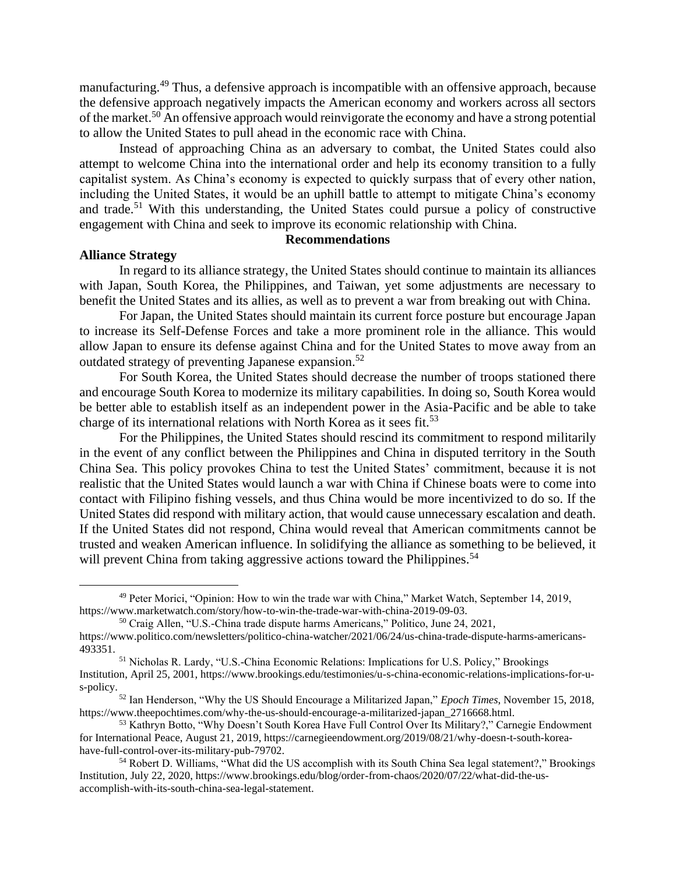manufacturing.<sup>49</sup> Thus, a defensive approach is incompatible with an offensive approach, because the defensive approach negatively impacts the American economy and workers across all sectors of the market.<sup>50</sup> An offensive approach would reinvigorate the economy and have a strong potential to allow the United States to pull ahead in the economic race with China.

Instead of approaching China as an adversary to combat, the United States could also attempt to welcome China into the international order and help its economy transition to a fully capitalist system. As China's economy is expected to quickly surpass that of every other nation, including the United States, it would be an uphill battle to attempt to mitigate China's economy and trade.<sup>51</sup> With this understanding, the United States could pursue a policy of constructive engagement with China and seek to improve its economic relationship with China.

## **Recommendations**

## **Alliance Strategy**

In regard to its alliance strategy, the United States should continue to maintain its alliances with Japan, South Korea, the Philippines, and Taiwan, yet some adjustments are necessary to benefit the United States and its allies, as well as to prevent a war from breaking out with China.

For Japan, the United States should maintain its current force posture but encourage Japan to increase its Self-Defense Forces and take a more prominent role in the alliance. This would allow Japan to ensure its defense against China and for the United States to move away from an outdated strategy of preventing Japanese expansion.<sup>52</sup>

For South Korea, the United States should decrease the number of troops stationed there and encourage South Korea to modernize its military capabilities. In doing so, South Korea would be better able to establish itself as an independent power in the Asia-Pacific and be able to take charge of its international relations with North Korea as it sees fit.<sup>53</sup>

For the Philippines, the United States should rescind its commitment to respond militarily in the event of any conflict between the Philippines and China in disputed territory in the South China Sea. This policy provokes China to test the United States' commitment, because it is not realistic that the United States would launch a war with China if Chinese boats were to come into contact with Filipino fishing vessels, and thus China would be more incentivized to do so. If the United States did respond with military action, that would cause unnecessary escalation and death. If the United States did not respond, China would reveal that American commitments cannot be trusted and weaken American influence. In solidifying the alliance as something to be believed, it will prevent China from taking aggressive actions toward the Philippines.<sup>54</sup>

<sup>49</sup> Peter Morici, "Opinion: How to win the trade war with China," Market Watch, September 14, 2019, https://www.marketwatch.com/story/how-to-win-the-trade-war-with-china-2019-09-03.

<sup>50</sup> Craig Allen, "U.S.-China trade dispute harms Americans," Politico, June 24, 2021,

https://www.politico.com/newsletters/politico-china-watcher/2021/06/24/us-china-trade-dispute-harms-americans-493351.

<sup>51</sup> Nicholas R. Lardy, "U.S.-China Economic Relations: Implications for U.S. Policy," Brookings Institution, April 25, 2001, https://www.brookings.edu/testimonies/u-s-china-economic-relations-implications-for-us-policy.

<sup>52</sup> Ian Henderson, "Why the US Should Encourage a Militarized Japan," *Epoch Times*, November 15, 2018, https://www.theepochtimes.com/why-the-us-should-encourage-a-militarized-japan\_2716668.html.

<sup>53</sup> Kathryn Botto, "Why Doesn't South Korea Have Full Control Over Its Military?," Carnegie Endowment for International Peace, August 21, 2019, https://carnegieendowment.org/2019/08/21/why-doesn-t-south-koreahave-full-control-over-its-military-pub-79702.

<sup>54</sup> Robert D. Williams, "What did the US accomplish with its South China Sea legal statement?," Brookings Institution, July 22, 2020, https://www.brookings.edu/blog/order-from-chaos/2020/07/22/what-did-the-usaccomplish-with-its-south-china-sea-legal-statement.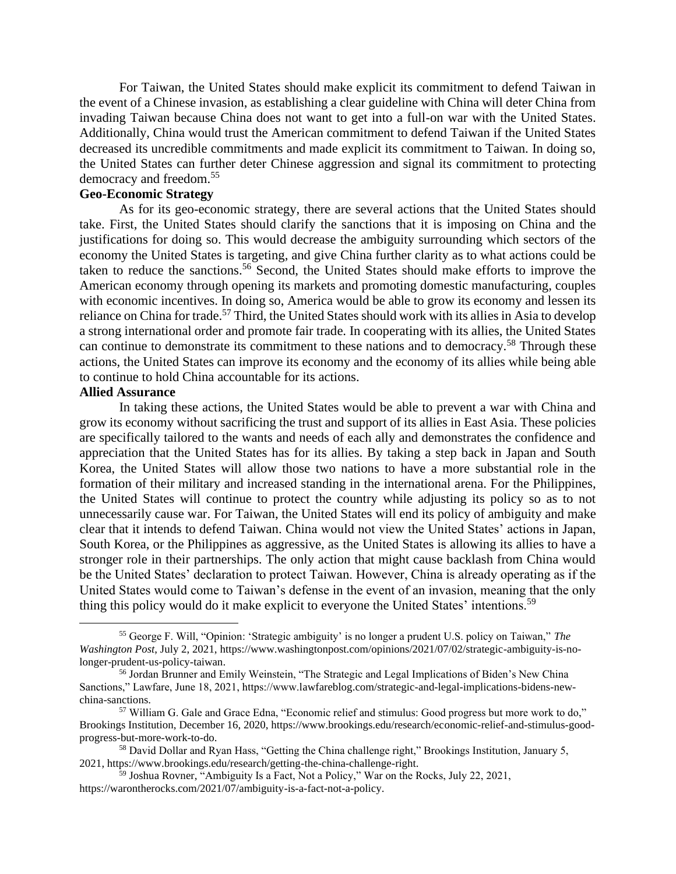For Taiwan, the United States should make explicit its commitment to defend Taiwan in the event of a Chinese invasion, as establishing a clear guideline with China will deter China from invading Taiwan because China does not want to get into a full-on war with the United States. Additionally, China would trust the American commitment to defend Taiwan if the United States decreased its uncredible commitments and made explicit its commitment to Taiwan. In doing so, the United States can further deter Chinese aggression and signal its commitment to protecting democracy and freedom.<sup>55</sup>

# **Geo-Economic Strategy**

As for its geo-economic strategy, there are several actions that the United States should take. First, the United States should clarify the sanctions that it is imposing on China and the justifications for doing so. This would decrease the ambiguity surrounding which sectors of the economy the United States is targeting, and give China further clarity as to what actions could be taken to reduce the sanctions.<sup>56</sup> Second, the United States should make efforts to improve the American economy through opening its markets and promoting domestic manufacturing, couples with economic incentives. In doing so, America would be able to grow its economy and lessen its reliance on China for trade.<sup>57</sup> Third, the United States should work with its allies in Asia to develop a strong international order and promote fair trade. In cooperating with its allies, the United States can continue to demonstrate its commitment to these nations and to democracy.<sup>58</sup> Through these actions, the United States can improve its economy and the economy of its allies while being able to continue to hold China accountable for its actions.

#### **Allied Assurance**

In taking these actions, the United States would be able to prevent a war with China and grow its economy without sacrificing the trust and support of its allies in East Asia. These policies are specifically tailored to the wants and needs of each ally and demonstrates the confidence and appreciation that the United States has for its allies. By taking a step back in Japan and South Korea, the United States will allow those two nations to have a more substantial role in the formation of their military and increased standing in the international arena. For the Philippines, the United States will continue to protect the country while adjusting its policy so as to not unnecessarily cause war. For Taiwan, the United States will end its policy of ambiguity and make clear that it intends to defend Taiwan. China would not view the United States' actions in Japan, South Korea, or the Philippines as aggressive, as the United States is allowing its allies to have a stronger role in their partnerships. The only action that might cause backlash from China would be the United States' declaration to protect Taiwan. However, China is already operating as if the United States would come to Taiwan's defense in the event of an invasion, meaning that the only thing this policy would do it make explicit to everyone the United States' intentions.<sup>59</sup>

<sup>55</sup> George F. Will, "Opinion: 'Strategic ambiguity' is no longer a prudent U.S. policy on Taiwan," *The Washington Post*, July 2, 2021, https://www.washingtonpost.com/opinions/2021/07/02/strategic-ambiguity-is-nolonger-prudent-us-policy-taiwan.

<sup>56</sup> Jordan Brunner and Emily Weinstein, "The Strategic and Legal Implications of Biden's New China Sanctions," Lawfare, June 18, 2021, https://www.lawfareblog.com/strategic-and-legal-implications-bidens-newchina-sanctions.

<sup>57</sup> William G. Gale and Grace Edna, "Economic relief and stimulus: Good progress but more work to do," Brookings Institution, December 16, 2020, https://www.brookings.edu/research/economic-relief-and-stimulus-goodprogress-but-more-work-to-do.

<sup>&</sup>lt;sup>58</sup> David Dollar and Ryan Hass, "Getting the China challenge right," Brookings Institution, January 5, 2021, https://www.brookings.edu/research/getting-the-china-challenge-right.

<sup>59</sup> Joshua Rovner, "Ambiguity Is a Fact, Not a Policy," War on the Rocks, July 22, 2021, https://warontherocks.com/2021/07/ambiguity-is-a-fact-not-a-policy.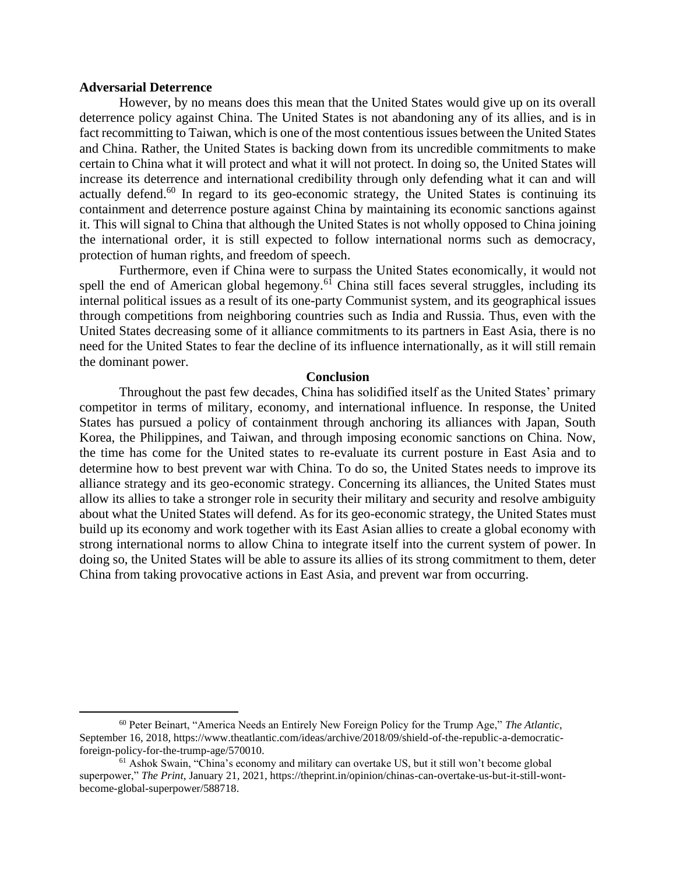## **Adversarial Deterrence**

However, by no means does this mean that the United States would give up on its overall deterrence policy against China. The United States is not abandoning any of its allies, and is in fact recommitting to Taiwan, which is one of the most contentious issues between the United States and China. Rather, the United States is backing down from its uncredible commitments to make certain to China what it will protect and what it will not protect. In doing so, the United States will increase its deterrence and international credibility through only defending what it can and will actually defend. $60$  In regard to its geo-economic strategy, the United States is continuing its containment and deterrence posture against China by maintaining its economic sanctions against it. This will signal to China that although the United States is not wholly opposed to China joining the international order, it is still expected to follow international norms such as democracy, protection of human rights, and freedom of speech.

Furthermore, even if China were to surpass the United States economically, it would not spell the end of American global hegemony.<sup>61</sup> China still faces several struggles, including its internal political issues as a result of its one-party Communist system, and its geographical issues through competitions from neighboring countries such as India and Russia. Thus, even with the United States decreasing some of it alliance commitments to its partners in East Asia, there is no need for the United States to fear the decline of its influence internationally, as it will still remain the dominant power.

## **Conclusion**

Throughout the past few decades, China has solidified itself as the United States' primary competitor in terms of military, economy, and international influence. In response, the United States has pursued a policy of containment through anchoring its alliances with Japan, South Korea, the Philippines, and Taiwan, and through imposing economic sanctions on China. Now, the time has come for the United states to re-evaluate its current posture in East Asia and to determine how to best prevent war with China. To do so, the United States needs to improve its alliance strategy and its geo-economic strategy. Concerning its alliances, the United States must allow its allies to take a stronger role in security their military and security and resolve ambiguity about what the United States will defend. As for its geo-economic strategy, the United States must build up its economy and work together with its East Asian allies to create a global economy with strong international norms to allow China to integrate itself into the current system of power. In doing so, the United States will be able to assure its allies of its strong commitment to them, deter China from taking provocative actions in East Asia, and prevent war from occurring.

<sup>60</sup> Peter Beinart, "America Needs an Entirely New Foreign Policy for the Trump Age," *The Atlantic*, September 16, 2018, https://www.theatlantic.com/ideas/archive/2018/09/shield-of-the-republic-a-democraticforeign-policy-for-the-trump-age/570010.

 $<sup>61</sup>$  Ashok Swain, "China's economy and military can overtake US, but it still won't become global</sup> superpower," *The Print*, January 21, 2021, https://theprint.in/opinion/chinas-can-overtake-us-but-it-still-wontbecome-global-superpower/588718.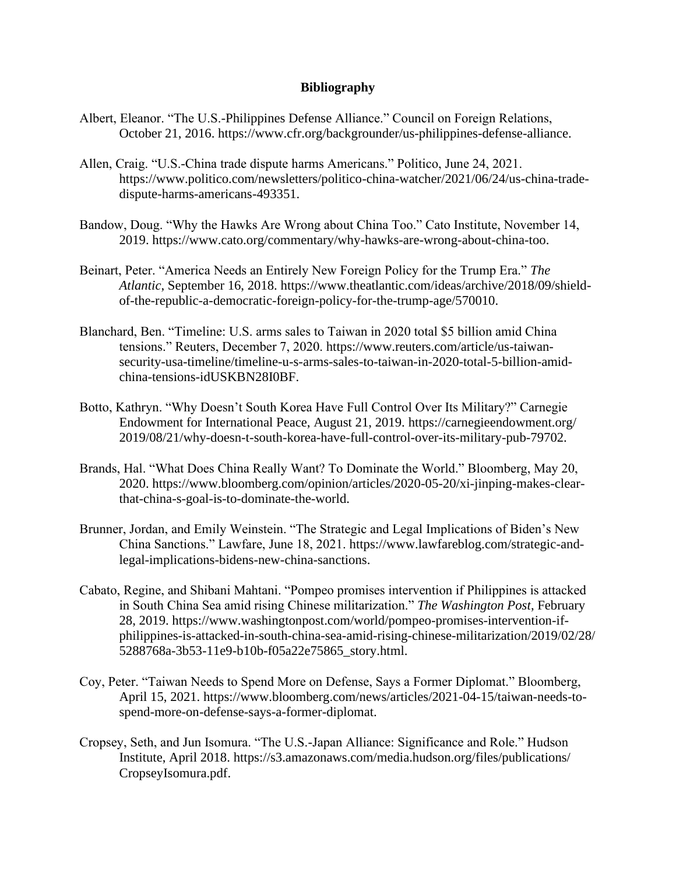# **Bibliography**

- Albert, Eleanor. "The U.S.-Philippines Defense Alliance." Council on Foreign Relations, October 21, 2016. https://www.cfr.org/backgrounder/us-philippines-defense-alliance.
- Allen, Craig. "U.S.-China trade dispute harms Americans." Politico, June 24, 2021. https://www.politico.com/newsletters/politico-china-watcher/2021/06/24/us-china-tradedispute-harms-americans-493351.
- Bandow, Doug. "Why the Hawks Are Wrong about China Too." Cato Institute, November 14, 2019. https://www.cato.org/commentary/why-hawks-are-wrong-about-china-too.
- Beinart, Peter. "America Needs an Entirely New Foreign Policy for the Trump Era." *The Atlantic*, September 16, 2018. https://www.theatlantic.com/ideas/archive/2018/09/shieldof-the-republic-a-democratic-foreign-policy-for-the-trump-age/570010.
- Blanchard, Ben. "Timeline: U.S. arms sales to Taiwan in 2020 total \$5 billion amid China tensions." Reuters, December 7, 2020. https://www.reuters.com/article/us-taiwansecurity-usa-timeline/timeline-u-s-arms-sales-to-taiwan-in-2020-total-5-billion-amidchina-tensions-idUSKBN28I0BF.
- Botto, Kathryn. "Why Doesn't South Korea Have Full Control Over Its Military?" Carnegie Endowment for International Peace, August 21, 2019. https://carnegieendowment.org/ 2019/08/21/why-doesn-t-south-korea-have-full-control-over-its-military-pub-79702.
- Brands, Hal. "What Does China Really Want? To Dominate the World." Bloomberg, May 20, 2020. https://www.bloomberg.com/opinion/articles/2020-05-20/xi-jinping-makes-clearthat-china-s-goal-is-to-dominate-the-world.
- Brunner, Jordan, and Emily Weinstein. "The Strategic and Legal Implications of Biden's New China Sanctions." Lawfare, June 18, 2021. https://www.lawfareblog.com/strategic-andlegal-implications-bidens-new-china-sanctions.
- Cabato, Regine, and Shibani Mahtani. "Pompeo promises intervention if Philippines is attacked in South China Sea amid rising Chinese militarization." *The Washington Post*, February 28, 2019. https://www.washingtonpost.com/world/pompeo-promises-intervention-ifphilippines-is-attacked-in-south-china-sea-amid-rising-chinese-militarization/2019/02/28/ 5288768a-3b53-11e9-b10b-f05a22e75865\_story.html.
- Coy, Peter. "Taiwan Needs to Spend More on Defense, Says a Former Diplomat." Bloomberg, April 15, 2021. https://www.bloomberg.com/news/articles/2021-04-15/taiwan-needs-tospend-more-on-defense-says-a-former-diplomat.
- Cropsey, Seth, and Jun Isomura. "The U.S.-Japan Alliance: Significance and Role." Hudson Institute, April 2018. https://s3.amazonaws.com/media.hudson.org/files/publications/ CropseyIsomura.pdf.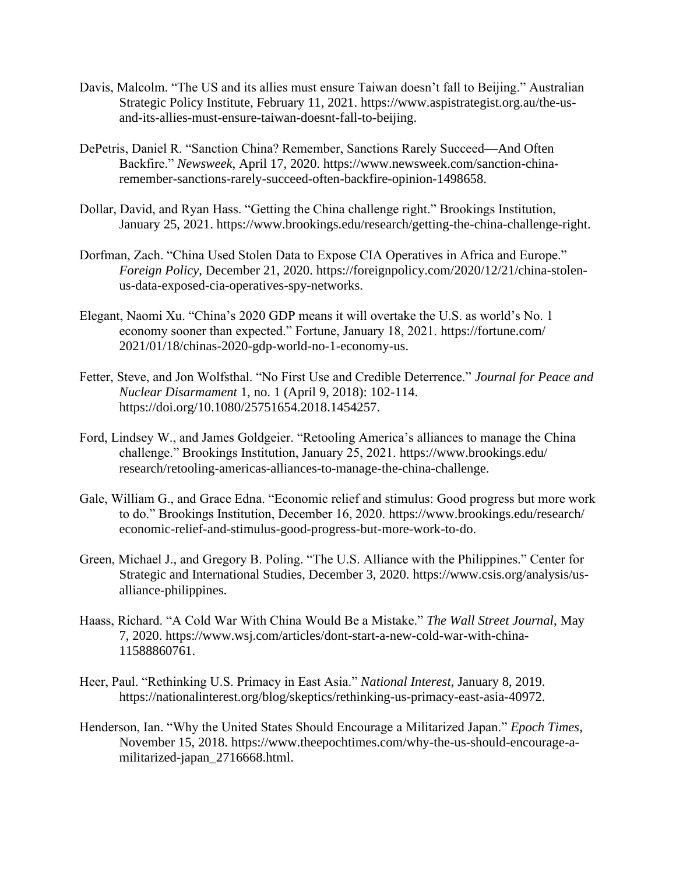- Davis, Malcolm. "The US and its allies must ensure Taiwan doesn't fall to Beijing." Australian Strategic Policy Institute, February 11, 2021. https://www.aspistrategist.org.au/the-usand-its-allies-must-ensure-taiwan-doesnt-fall-to-beijing.
- DePetris, Daniel R. "Sanction China? Remember, Sanctions Rarely Succeed—And Often Backfire." *Newsweek*, April 17, 2020. https://www.newsweek.com/sanction-chinaremember-sanctions-rarely-succeed-often-backfire-opinion-1498658.
- Dollar, David, and Ryan Hass. "Getting the China challenge right." Brookings Institution, January 25, 2021. https://www.brookings.edu/research/getting-the-china-challenge-right.
- Dorfman, Zach. "China Used Stolen Data to Expose CIA Operatives in Africa and Europe." *Foreign Policy*, December 21, 2020. https://foreignpolicy.com/2020/12/21/china-stolenus-data-exposed-cia-operatives-spy-networks.
- Elegant, Naomi Xu. "China's 2020 GDP means it will overtake the U.S. as world's No. 1 economy sooner than expected." Fortune, January 18, 2021. https://fortune.com/ 2021/01/18/chinas-2020-gdp-world-no-1-economy-us.
- Fetter, Steve, and Jon Wolfsthal. "No First Use and Credible Deterrence." *Journal for Peace and Nuclear Disarmament* 1, no. 1 (April 9, 2018): 102-114. https://doi.org/10.1080/25751654.2018.1454257.
- Ford, Lindsey W., and James Goldgeier. "Retooling America's alliances to manage the China challenge." Brookings Institution, January 25, 2021. https://www.brookings.edu/ research/retooling-americas-alliances-to-manage-the-china-challenge.
- Gale, William G., and Grace Edna. "Economic relief and stimulus: Good progress but more work to do." Brookings Institution, December 16, 2020. https://www.brookings.edu/research/ economic-relief-and-stimulus-good-progress-but-more-work-to-do.
- Green, Michael J., and Gregory B. Poling. "The U.S. Alliance with the Philippines." Center for Strategic and International Studies, December 3, 2020. https://www.csis.org/analysis/usalliance-philippines.
- Haass, Richard. "A Cold War With China Would Be a Mistake." *The Wall Street Journal*, May 7, 2020. https://www.wsj.com/articles/dont-start-a-new-cold-war-with-china-11588860761.
- Heer, Paul. "Rethinking U.S. Primacy in East Asia." *National Interest*, January 8, 2019. https://nationalinterest.org/blog/skeptics/rethinking-us-primacy-east-asia-40972.
- Henderson, Ian. "Why the United States Should Encourage a Militarized Japan." *Epoch Times*, November 15, 2018. https://www.theepochtimes.com/why-the-us-should-encourage-amilitarized-japan\_2716668.html.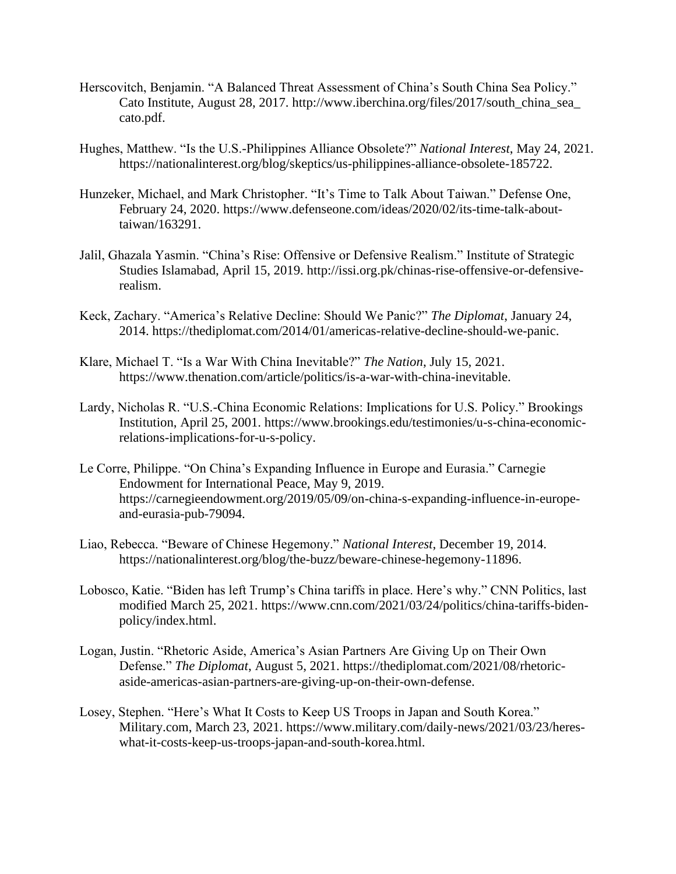- Herscovitch, Benjamin. "A Balanced Threat Assessment of China's South China Sea Policy." Cato Institute, August 28, 2017. http://www.iberchina.org/files/2017/south\_china\_sea\_ cato.pdf.
- Hughes, Matthew. "Is the U.S.-Philippines Alliance Obsolete?" *National Interest*, May 24, 2021. https://nationalinterest.org/blog/skeptics/us-philippines-alliance-obsolete-185722.
- Hunzeker, Michael, and Mark Christopher. "It's Time to Talk About Taiwan." Defense One, February 24, 2020. https://www.defenseone.com/ideas/2020/02/its-time-talk-abouttaiwan/163291.
- Jalil, Ghazala Yasmin. "China's Rise: Offensive or Defensive Realism." Institute of Strategic Studies Islamabad, April 15, 2019. http://issi.org.pk/chinas-rise-offensive-or-defensiverealism.
- Keck, Zachary. "America's Relative Decline: Should We Panic?" *The Diplomat*, January 24, 2014. https://thediplomat.com/2014/01/americas-relative-decline-should-we-panic.
- Klare, Michael T. "Is a War With China Inevitable?" *The Nation*, July 15, 2021. https://www.thenation.com/article/politics/is-a-war-with-china-inevitable.
- Lardy, Nicholas R. "U.S.-China Economic Relations: Implications for U.S. Policy." Brookings Institution, April 25, 2001. https://www.brookings.edu/testimonies/u-s-china-economicrelations-implications-for-u-s-policy.
- Le Corre, Philippe. "On China's Expanding Influence in Europe and Eurasia." Carnegie Endowment for International Peace, May 9, 2019. https://carnegieendowment.org/2019/05/09/on-china-s-expanding-influence-in-europeand-eurasia-pub-79094.
- Liao, Rebecca. "Beware of Chinese Hegemony." *National Interest*, December 19, 2014. https://nationalinterest.org/blog/the-buzz/beware-chinese-hegemony-11896.
- Lobosco, Katie. "Biden has left Trump's China tariffs in place. Here's why." CNN Politics, last modified March 25, 2021. https://www.cnn.com/2021/03/24/politics/china-tariffs-bidenpolicy/index.html.
- Logan, Justin. "Rhetoric Aside, America's Asian Partners Are Giving Up on Their Own Defense." *The Diplomat*, August 5, 2021. https://thediplomat.com/2021/08/rhetoricaside-americas-asian-partners-are-giving-up-on-their-own-defense.
- Losey, Stephen. "Here's What It Costs to Keep US Troops in Japan and South Korea." Military.com, March 23, 2021. https://www.military.com/daily-news/2021/03/23/hereswhat-it-costs-keep-us-troops-japan-and-south-korea.html.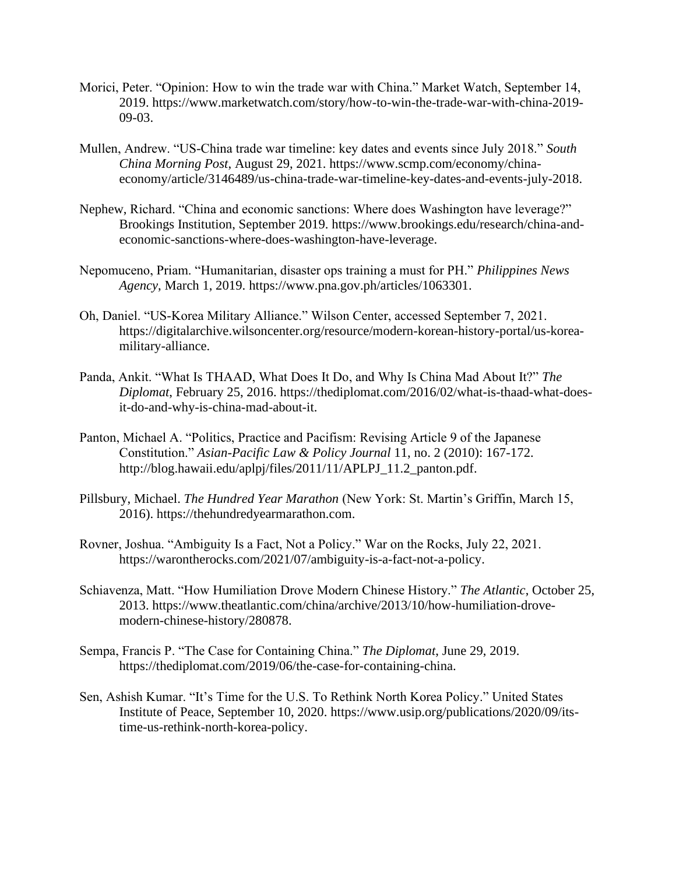- Morici, Peter. "Opinion: How to win the trade war with China." Market Watch, September 14, 2019. https://www.marketwatch.com/story/how-to-win-the-trade-war-with-china-2019- 09-03.
- Mullen, Andrew. "US-China trade war timeline: key dates and events since July 2018." *South China Morning Post*, August 29, 2021. https://www.scmp.com/economy/chinaeconomy/article/3146489/us-china-trade-war-timeline-key-dates-and-events-july-2018.
- Nephew, Richard. "China and economic sanctions: Where does Washington have leverage?" Brookings Institution, September 2019. https://www.brookings.edu/research/china-andeconomic-sanctions-where-does-washington-have-leverage.
- Nepomuceno, Priam. "Humanitarian, disaster ops training a must for PH." *Philippines News Agency*, March 1, 2019. https://www.pna.gov.ph/articles/1063301.
- Oh, Daniel. "US-Korea Military Alliance." Wilson Center, accessed September 7, 2021. https://digitalarchive.wilsoncenter.org/resource/modern-korean-history-portal/us-koreamilitary-alliance.
- Panda, Ankit. "What Is THAAD, What Does It Do, and Why Is China Mad About It?" *The Diplomat*, February 25, 2016. https://thediplomat.com/2016/02/what-is-thaad-what-doesit-do-and-why-is-china-mad-about-it.
- Panton, Michael A. "Politics, Practice and Pacifism: Revising Article 9 of the Japanese Constitution." *Asian-Pacific Law & Policy Journal* 11, no. 2 (2010): 167-172. http://blog.hawaii.edu/aplpj/files/2011/11/APLPJ\_11.2\_panton.pdf.
- Pillsbury, Michael. *The Hundred Year Marathon* (New York: St. Martin's Griffin, March 15, 2016). https://thehundredyearmarathon.com.
- Rovner, Joshua. "Ambiguity Is a Fact, Not a Policy." War on the Rocks, July 22, 2021. https://warontherocks.com/2021/07/ambiguity-is-a-fact-not-a-policy.
- Schiavenza, Matt. "How Humiliation Drove Modern Chinese History." *The Atlantic*, October 25, 2013. https://www.theatlantic.com/china/archive/2013/10/how-humiliation-drovemodern-chinese-history/280878.
- Sempa, Francis P. "The Case for Containing China." *The Diplomat*, June 29, 2019. https://thediplomat.com/2019/06/the-case-for-containing-china.
- Sen, Ashish Kumar. "It's Time for the U.S. To Rethink North Korea Policy." United States Institute of Peace, September 10, 2020. https://www.usip.org/publications/2020/09/itstime-us-rethink-north-korea-policy.